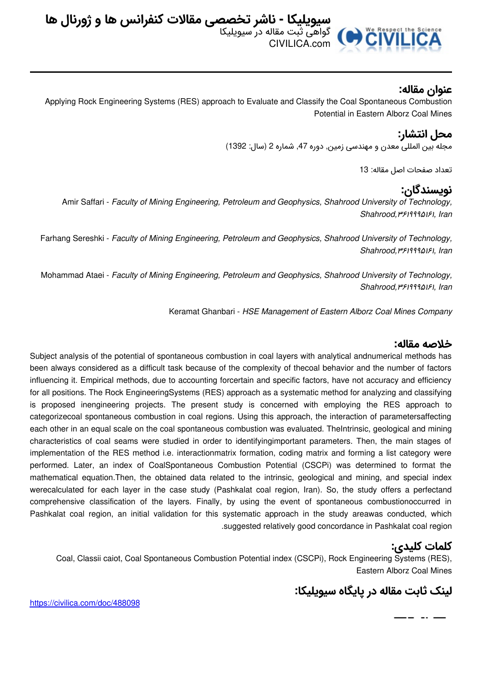

## **عنوان مقاله:**

Applying Rock Engineering Systems (RES) approach to Evaluate and Classify the Coal Spontaneous Combustion Potential in Eastern Alborz Coal Mines

### **محل انتشار:**

مجله بین المللی معدن و مهندسی زمین, دوره ,47 شماره 2 (سال: 1392)

تعداد صفحات اصل مقاله: 13

## **نویسندگان:**

Amir Saffari - *Faculty of Mining Engineering, Petroleum and Geophysics, Shahrood University of Technology, Shahrood,*۳۶۱۹۹۹۵۱۶۱*, Iran*

Farhang Sereshki - *Faculty of Mining Engineering, Petroleum and Geophysics, Shahrood University of Technology, Shahrood,*۳۶۱۹۹۹۵۱۶۱*, Iran*

Mohammad Ataei - *Faculty of Mining Engineering, Petroleum and Geophysics, Shahrood University of Technology, Shahrood,*۳۶۱۹۹۹۵۱۶۱*, Iran*

Keramat Ghanbari - *HSE Management of Eastern Alborz Coal Mines Company*

#### **خلاصه مقاله:**

Subject analysis of the potential of spontaneous combustion in coal layers with analytical andnumerical methods has been always considered as a difficult task because of the complexity of thecoal behavior and the number of factors influencing it. Empirical methods, due to accounting forcertain and specific factors, have not accuracy and efficiency for all positions. The Rock EngineeringSystems (RES) approach as a systematic method for analyzing and classifying is proposed inengineering projects. The present study is concerned with employing the RES approach to categorizecoal spontaneous combustion in coal regions. Using this approach, the interaction of parametersaffecting each other in an equal scale on the coal spontaneous combustion was evaluated. TheIntrinsic, geological and mining characteristics of coal seams were studied in order to identifyingimportant parameters. Then, the main stages of implementation of the RES method i.e. interactionmatrix formation, coding matrix and forming a list category were performed. Later, an index of CoalSpontaneous Combustion Potential (CSCPi) was determined to format the mathematical equation.Then, the obtained data related to the intrinsic, geological and mining, and special index werecalculated for each layer in the case study (Pashkalat coal region, Iran). So, the study offers a perfectand comprehensive classification of the layers. Finally, by using the event of spontaneous combustionoccurred in Pashkalat coal region, an initial validation for this systematic approach in the study areawas conducted, which .suggested relatively good concordance in Pashkalat coal region

## **کلمات کلیدی:**

بالمستحدث

Coal, Classii caiot, Coal Spontaneous Combustion Potential index (CSCPi), Rock Engineering Systems (RES), Eastern Alborz Coal Mines

# **لینک ثابت مقاله در پایگاه سیویلیکا:**

<https://civilica.com/doc/488098>